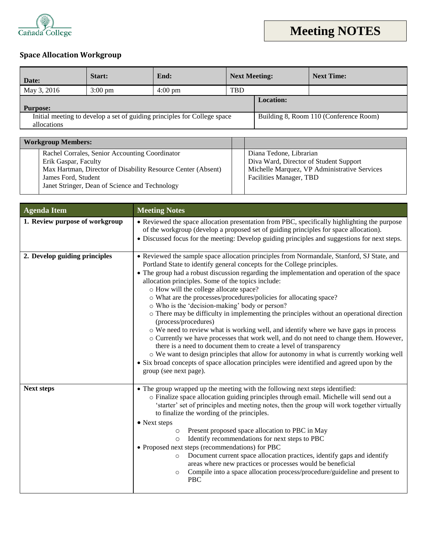

## ` **Space Allocation Workgroup**

| Date:                                                                                   | Start:            | End:              | <b>Next Meeting:</b> |  | <b>Next Time:</b>                      |
|-----------------------------------------------------------------------------------------|-------------------|-------------------|----------------------|--|----------------------------------------|
| May 3, 2016                                                                             | $3:00 \text{ pm}$ | $4:00 \text{ pm}$ | <b>TBD</b>           |  |                                        |
| <b>Purpose:</b>                                                                         |                   | <b>Location:</b>  |                      |  |                                        |
| Initial meeting to develop a set of guiding principles for College space<br>allocations |                   |                   |                      |  | Building 8, Room 110 (Conference Room) |

| <b>Workgroup Members:</b> |                                                                                                                                       |                                                                         |
|---------------------------|---------------------------------------------------------------------------------------------------------------------------------------|-------------------------------------------------------------------------|
|                           | Rachel Corrales, Senior Accounting Coordinator<br>Erik Gaspar, Faculty                                                                | Diana Tedone, Librarian<br>Diva Ward, Director of Student Support       |
|                           | Max Hartman, Director of Disability Resource Center (Absent)<br>James Ford, Student<br>Janet Stringer, Dean of Science and Technology | Michelle Marquez, VP Administrative Services<br>Facilities Manager, TBD |

| <b>Agenda Item</b>             | <b>Meeting Notes</b>                                                                                                                                                                                                                                                                                                                                                                                                                                                                                                                                                                                                                                                                                                                                                                                                                                                                                                                                                                                                                                                                                |  |
|--------------------------------|-----------------------------------------------------------------------------------------------------------------------------------------------------------------------------------------------------------------------------------------------------------------------------------------------------------------------------------------------------------------------------------------------------------------------------------------------------------------------------------------------------------------------------------------------------------------------------------------------------------------------------------------------------------------------------------------------------------------------------------------------------------------------------------------------------------------------------------------------------------------------------------------------------------------------------------------------------------------------------------------------------------------------------------------------------------------------------------------------------|--|
| 1. Review purpose of workgroup | • Reviewed the space allocation presentation from PBC, specifically highlighting the purpose<br>of the workgroup (develop a proposed set of guiding principles for space allocation).<br>• Discussed focus for the meeting: Develop guiding principles and suggestions for next steps.                                                                                                                                                                                                                                                                                                                                                                                                                                                                                                                                                                                                                                                                                                                                                                                                              |  |
| 2. Develop guiding principles  | • Reviewed the sample space allocation principles from Normandale, Stanford, SJ State, and<br>Portland State to identify general concepts for the College principles.<br>• The group had a robust discussion regarding the implementation and operation of the space<br>allocation principles. Some of the topics include:<br>o How will the college allocate space?<br>o What are the processes/procedures/policies for allocating space?<br>o Who is the 'decision-making' body or person?<br>$\circ$ There may be difficulty in implementing the principles without an operational direction<br>(process/procedures)<br>O We need to review what is working well, and identify where we have gaps in process<br>o Currently we have processes that work well, and do not need to change them. However,<br>there is a need to document them to create a level of transparency<br>o We want to design principles that allow for autonomy in what is currently working well<br>• Six broad concepts of space allocation principles were identified and agreed upon by the<br>group (see next page). |  |
| <b>Next steps</b>              | • The group wrapped up the meeting with the following next steps identified:<br>o Finalize space allocation guiding principles through email. Michelle will send out a<br>'starter' set of principles and meeting notes, then the group will work together virtually<br>to finalize the wording of the principles.<br>• Next steps<br>Present proposed space allocation to PBC in May<br>$\circ$<br>Identify recommendations for next steps to PBC<br>$\circ$<br>• Proposed next steps (recommendations) for PBC<br>Document current space allocation practices, identify gaps and identify<br>$\circ$<br>areas where new practices or processes would be beneficial<br>Compile into a space allocation process/procedure/guideline and present to<br>$\circ$<br><b>PBC</b>                                                                                                                                                                                                                                                                                                                         |  |